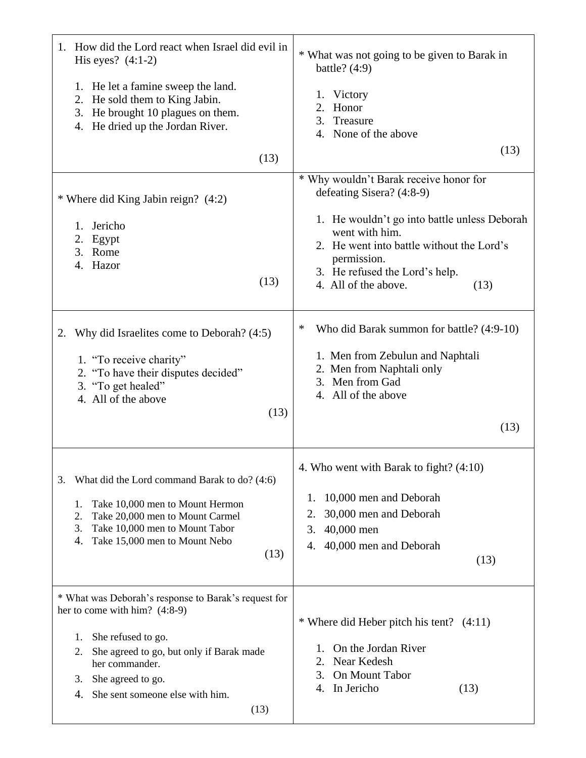| 1. How did the Lord react when Israel did evil in<br>His eyes? $(4:1-2)$                                                                                                                                                                                            | * What was not going to be given to Barak in<br>battle? $(4:9)$                                                                                                                                                                                                     |
|---------------------------------------------------------------------------------------------------------------------------------------------------------------------------------------------------------------------------------------------------------------------|---------------------------------------------------------------------------------------------------------------------------------------------------------------------------------------------------------------------------------------------------------------------|
| 1. He let a famine sweep the land.<br>2. He sold them to King Jabin.<br>3. He brought 10 plagues on them.<br>4. He dried up the Jordan River.                                                                                                                       | 1. Victory<br>Honor<br>2.<br>3. Treasure<br>4. None of the above                                                                                                                                                                                                    |
| (13)                                                                                                                                                                                                                                                                | (13)                                                                                                                                                                                                                                                                |
| * Where did King Jabin reign? (4:2)<br>Jericho<br>1.<br>2.<br>Egypt<br>3. Rome<br>4. Hazor<br>(13)                                                                                                                                                                  | * Why wouldn't Barak receive honor for<br>defeating Sisera? (4:8-9)<br>1. He wouldn't go into battle unless Deborah<br>went with him.<br>2. He went into battle without the Lord's<br>permission.<br>3. He refused the Lord's help.<br>4. All of the above.<br>(13) |
| Why did Israelites come to Deborah? (4:5)<br>2.<br>1. "To receive charity"<br>2. "To have their disputes decided"<br>3. "To get healed"<br>4. All of the above<br>(13)                                                                                              | ∗<br>Who did Barak summon for battle? (4:9-10)<br>1. Men from Zebulun and Naphtali<br>2. Men from Naphtali only<br>3. Men from Gad<br>4. All of the above<br>(13)                                                                                                   |
| What did the Lord command Barak to do? (4:6)<br>3.<br>Take 10,000 men to Mount Hermon<br>1.<br>Take 20,000 men to Mount Carmel<br>2.<br>Take 10,000 men to Mount Tabor<br>3.<br>Take 15,000 men to Mount Nebo<br>4.<br>(13)                                         | 4. Who went with Barak to fight? (4:10)<br>10,000 men and Deborah<br>1.<br>30,000 men and Deborah<br>2.<br>3.<br>40,000 men<br>40,000 men and Deborah<br>4.<br>(13)                                                                                                 |
| * What was Deborah's response to Barak's request for<br>her to come with him? $(4:8-9)$<br>She refused to go.<br>1.<br>2.<br>She agreed to go, but only if Barak made<br>her commander.<br>She agreed to go.<br>3.<br>She sent someone else with him.<br>4.<br>(13) | * Where did Heber pitch his tent? $(4:11)$<br>On the Jordan River<br>Ι.<br>Near Kedesh<br>2.<br>On Mount Tabor<br>3.<br>In Jericho<br>(13)<br>4.                                                                                                                    |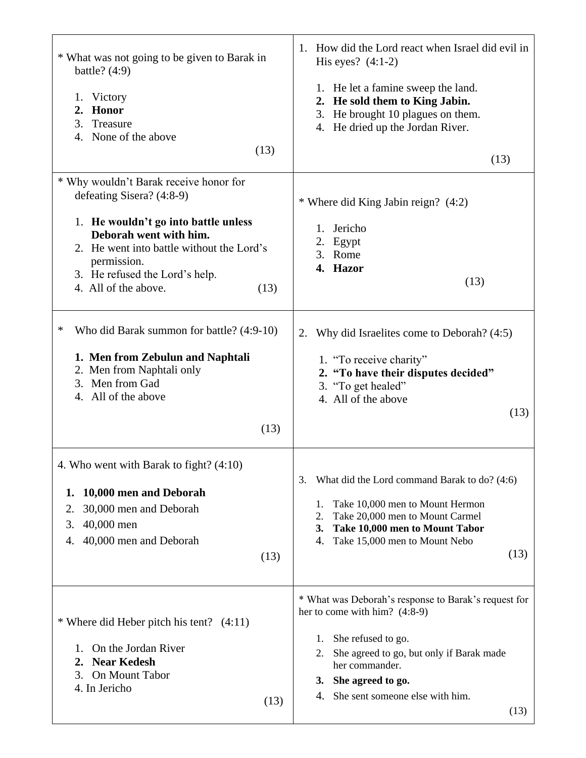| * What was not going to be given to Barak in<br>battle? $(4:9)$<br>Victory<br>1.<br>2. Honor<br>3.<br>Treasure<br>4. None of the above                                                       | How did the Lord react when Israel did evil in<br>1.<br>His eyes? $(4:1-2)$<br>1. He let a famine sweep the land.<br>2. He sold them to King Jabin.<br>3. He brought 10 plagues on them.<br>4. He dried up the Jordan River.                                      |
|----------------------------------------------------------------------------------------------------------------------------------------------------------------------------------------------|-------------------------------------------------------------------------------------------------------------------------------------------------------------------------------------------------------------------------------------------------------------------|
| (13)                                                                                                                                                                                         | (13)                                                                                                                                                                                                                                                              |
| * Why wouldn't Barak receive honor for<br>defeating Sisera? (4:8-9)                                                                                                                          | * Where did King Jabin reign? (4:2)                                                                                                                                                                                                                               |
| 1. He wouldn't go into battle unless<br>Deborah went with him.<br>2. He went into battle without the Lord's<br>permission.<br>3. He refused the Lord's help.<br>4. All of the above.<br>(13) | Jericho<br>1.<br>2. Egypt<br>3. Rome<br>4. Hazor<br>(13)                                                                                                                                                                                                          |
| ∗<br>Who did Barak summon for battle? (4:9-10)<br>1. Men from Zebulun and Naphtali<br>2. Men from Naphtali only<br>3. Men from Gad<br>4. All of the above<br>(13)                            | 2. Why did Israelites come to Deborah? (4:5)<br>1. "To receive charity"<br>2. "To have their disputes decided"<br>3. "To get healed"<br>4. All of the above<br>(13)                                                                                               |
| 4. Who went with Barak to fight? (4:10)<br>10,000 men and Deborah<br>1.<br>30,000 men and Deborah<br>2.<br>40,000 men<br>3.<br>40,000 men and Deborah<br>4.<br>(13)                          | What did the Lord command Barak to do? (4:6)<br>3.<br>Take 10,000 men to Mount Hermon<br>1.<br>Take 20,000 men to Mount Carmel<br>2.<br>Take 10,000 men to Mount Tabor<br>3.<br>Take 15,000 men to Mount Nebo<br>4.<br>(13)                                       |
| * Where did Heber pitch his tent? $(4:11)$<br>On the Jordan River<br>1.<br><b>Near Kedesh</b><br>2.<br>On Mount Tabor<br>3.<br>4. In Jericho<br>(13)                                         | * What was Deborah's response to Barak's request for<br>her to come with him? (4:8-9)<br>She refused to go.<br>1.<br>She agreed to go, but only if Barak made<br>2.<br>her commander.<br>She agreed to go.<br>3.<br>She sent someone else with him.<br>4.<br>(13) |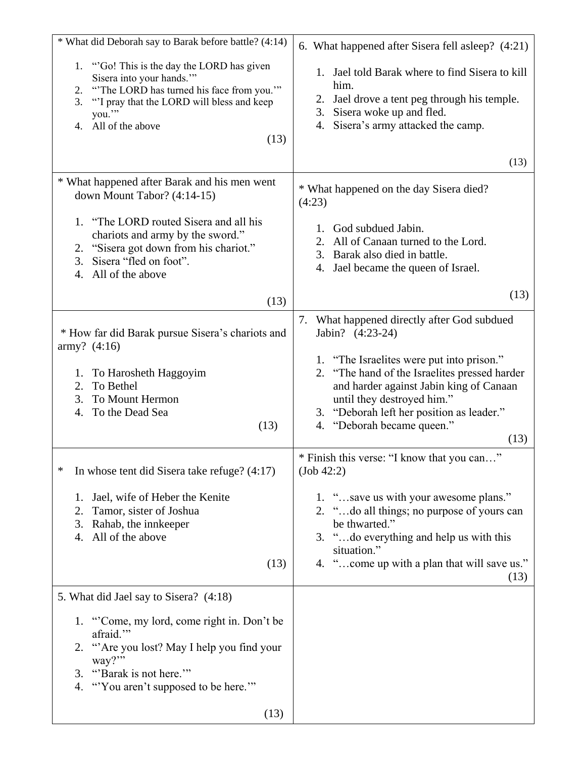| * What did Deborah say to Barak before battle? (4:14)                                                                                                                                                                   | 6. What happened after Sisera fell asleep? (4:21)                                                                                                                                                                                                         |
|-------------------------------------------------------------------------------------------------------------------------------------------------------------------------------------------------------------------------|-----------------------------------------------------------------------------------------------------------------------------------------------------------------------------------------------------------------------------------------------------------|
| 1. "Go! This is the day the LORD has given<br>Sisera into your hands.""<br>"The LORD has turned his face from you."<br>2.<br>"I pray that the LORD will bless and keep<br>3.<br>you."<br>All of the above<br>4.<br>(13) | 1. Jael told Barak where to find Sisera to kill<br>him.<br>Jael drove a tent peg through his temple.<br>2.<br>3. Sisera woke up and fled.<br>4. Sisera's army attacked the camp.                                                                          |
|                                                                                                                                                                                                                         | (13)                                                                                                                                                                                                                                                      |
| * What happened after Barak and his men went<br>down Mount Tabor? $(4:14-15)$                                                                                                                                           | * What happened on the day Sisera died?<br>(4:23)                                                                                                                                                                                                         |
| 1. "The LORD routed Sisera and all his<br>chariots and army by the sword."<br>2. "Sisera got down from his chariot."<br>Sisera "fled on foot".<br>3.<br>4. All of the above                                             | 1. God subdued Jabin.<br>All of Canaan turned to the Lord.<br>2.<br>3. Barak also died in battle.<br>4. Jael became the queen of Israel.                                                                                                                  |
| (13)                                                                                                                                                                                                                    | (13)                                                                                                                                                                                                                                                      |
| * How far did Barak pursue Sisera's chariots and<br>$army?$ (4:16)                                                                                                                                                      | 7. What happened directly after God subdued<br>Jabin? (4:23-24)                                                                                                                                                                                           |
| To Harosheth Haggoyim<br>1.<br>To Bethel<br>2.<br>3.<br>To Mount Hermon<br>To the Dead Sea<br>4.<br>(13)                                                                                                                | 1. "The Israelites were put into prison."<br>2. "The hand of the Israelites pressed harder<br>and harder against Jabin king of Canaan<br>until they destroyed him."<br>3. "Deborah left her position as leader."<br>"Deborah became queen."<br>4.<br>(13) |
| In whose tent did Sisera take refuge? $(4:17)$<br>∗                                                                                                                                                                     | * Finish this verse: "I know that you can"<br>(Job 42:2)                                                                                                                                                                                                  |
| Jael, wife of Heber the Kenite<br>1.<br>2.<br>Tamor, sister of Joshua<br>Rahab, the innkeeper<br>3.<br>All of the above<br>4.<br>(13)                                                                                   | 1. "save us with your awesome plans."<br>2. "do all things; no purpose of yours can<br>be thwarted."<br>3. "do everything and help us with this<br>situation."<br>4. "come up with a plan that will save us."<br>(13)                                     |
| 5. What did Jael say to Sisera? (4:18)                                                                                                                                                                                  |                                                                                                                                                                                                                                                           |
| 1. "Come, my lord, come right in. Don't be<br>afraid."<br>2. "Are you lost? May I help you find your<br>way?"<br>"Barak is not here."<br>3.<br>"You aren't supposed to be here.""<br>4.<br>(13)                         |                                                                                                                                                                                                                                                           |